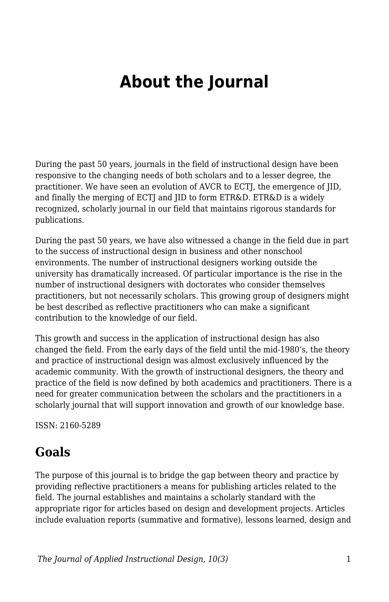# **About the Journal**

During the past 50 years, journals in the field of instructional design have been responsive to the changing needs of both scholars and to a lesser degree, the practitioner. We have seen an evolution of AVCR to ECTJ, the emergence of JID, and finally the merging of ECTJ and JID to form ETR&D. ETR&D is a widely recognized, scholarly journal in our field that maintains rigorous standards for publications.

During the past 50 years, we have also witnessed a change in the field due in part to the success of instructional design in business and other nonschool environments. The number of instructional designers working outside the university has dramatically increased. Of particular importance is the rise in the number of instructional designers with doctorates who consider themselves practitioners, but not necessarily scholars. This growing group of designers might be best described as reflective practitioners who can make a significant contribution to the knowledge of our field.

This growth and success in the application of instructional design has also changed the field. From the early days of the field until the mid-1980's, the theory and practice of instructional design was almost exclusively influenced by the academic community. With the growth of instructional designers, the theory and practice of the field is now defined by both academics and practitioners. There is a need for greater communication between the scholars and the practitioners in a scholarly journal that will support innovation and growth of our knowledge base.

ISSN: 2160-5289

#### **Goals**

The purpose of this journal is to bridge the gap between theory and practice by providing reflective practitioners a means for publishing articles related to the field. The journal establishes and maintains a scholarly standard with the appropriate rigor for articles based on design and development projects. Articles include evaluation reports (summative and formative), lessons learned, design and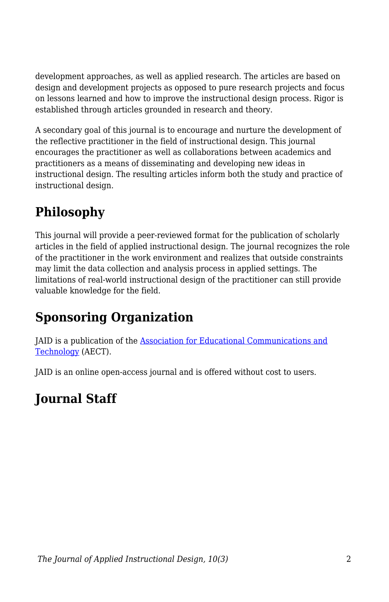development approaches, as well as applied research. The articles are based on design and development projects as opposed to pure research projects and focus on lessons learned and how to improve the instructional design process. Rigor is established through articles grounded in research and theory.

A secondary goal of this journal is to encourage and nurture the development of the reflective practitioner in the field of instructional design. This journal encourages the practitioner as well as collaborations between academics and practitioners as a means of disseminating and developing new ideas in instructional design. The resulting articles inform both the study and practice of instructional design.

# **Philosophy**

This journal will provide a peer-reviewed format for the publication of scholarly articles in the field of applied instructional design. The journal recognizes the role of the practitioner in the work environment and realizes that outside constraints may limit the data collection and analysis process in applied settings. The limitations of real-world instructional design of the practitioner can still provide valuable knowledge for the field.

## **Sponsoring Organization**

JAID is a publication of the [Association for Educational Communications and](https://www.aect.org/) [Technology](https://www.aect.org/) (AECT).

JAID is an online open-access journal and is offered without cost to users.

## **Journal Staff**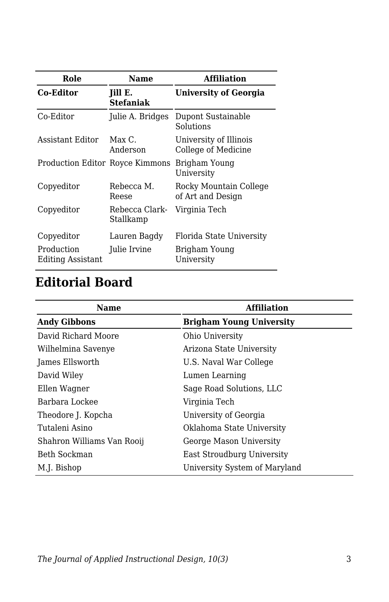| Role                                   | <b>Name</b>                 | <b>Affiliation</b>                            |
|----------------------------------------|-----------------------------|-----------------------------------------------|
| <b>Co-Editor</b>                       | Jill E.<br><b>Stefaniak</b> | <b>University of Georgia</b>                  |
| Co-Editor                              | Julie A. Bridges            | Dupont Sustainable<br>Solutions               |
| Assistant Editor                       | $Max C$ .<br>Anderson       | University of Illinois<br>College of Medicine |
| <b>Production Editor Royce Kimmons</b> |                             | Brigham Young<br>University                   |
| Copyeditor                             | Rebecca M.<br>Reese         | Rocky Mountain College<br>of Art and Design   |
| Copyeditor                             | Rebecca Clark-<br>Stallkamp | Virginia Tech                                 |
| Copyeditor                             | Lauren Bagdy                | Florida State University                      |
| Production<br><b>Editing Assistant</b> | Julie Irvine                | Brigham Young<br>University                   |

## **Editorial Board**

| Name                       | <b>Affiliation</b>              |
|----------------------------|---------------------------------|
| <b>Andy Gibbons</b>        | <b>Brigham Young University</b> |
| David Richard Moore        | Ohio University                 |
| Wilhelmina Savenye         | Arizona State University        |
| James Ellsworth            | U.S. Naval War College          |
| David Wiley                | Lumen Learning                  |
| Ellen Wagner               | Sage Road Solutions, LLC        |
| Barbara Lockee             | Virginia Tech                   |
| Theodore J. Kopcha         | University of Georgia           |
| Tutaleni Asino             | Oklahoma State University       |
| Shahron Williams Van Rooij | George Mason University         |
| Beth Sockman               | East Stroudburg University      |
| M.J. Bishop                | University System of Maryland   |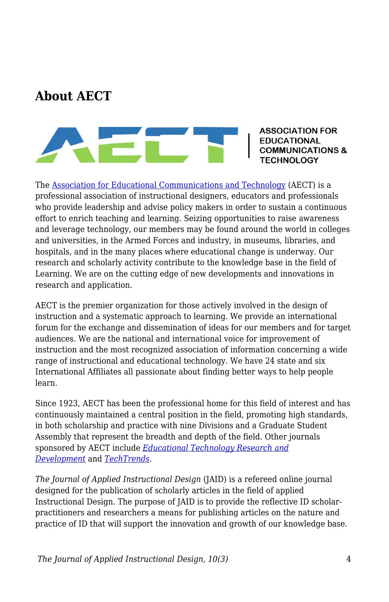#### **About AECT**



**ASSOCIATION FOR EDUCATIONAL IMUNICATIONS & TECHNOLOGY** 

The [Association for Educational Communications and Technology](https://www.aect.org/) (AECT) is a professional association of instructional designers, educators and professionals who provide leadership and advise policy makers in order to sustain a continuous effort to enrich teaching and learning. Seizing opportunities to raise awareness and leverage technology, our members may be found around the world in colleges and universities, in the Armed Forces and industry, in museums, libraries, and hospitals, and in the many places where educational change is underway. Our research and scholarly activity contribute to the knowledge base in the field of Learning. We are on the cutting edge of new developments and innovations in research and application.

AECT is the premier organization for those actively involved in the design of instruction and a systematic approach to learning. We provide an international forum for the exchange and dissemination of ideas for our members and for target audiences. We are the national and international voice for improvement of instruction and the most recognized association of information concerning a wide range of instructional and educational technology. We have 24 state and six International Affiliates all passionate about finding better ways to help people learn.

Since 1923, AECT has been the professional home for this field of interest and has continuously maintained a central position in the field, promoting high standards, in both scholarship and practice with nine Divisions and a Graduate Student Assembly that represent the breadth and depth of the field. Other journals sponsored by AECT include *[Educational Technology Research and](https://www.springer.com/journal/11423) [Development](https://www.springer.com/journal/11423)* and *[TechTrends](https://www.springer.com/journal/11528)*.

*The Journal of Applied Instructional Design* (JAID) is a refereed online journal designed for the publication of scholarly articles in the field of applied Instructional Design. The purpose of JAID is to provide the reflective ID scholarpractitioners and researchers a means for publishing articles on the nature and practice of ID that will support the innovation and growth of our knowledge base.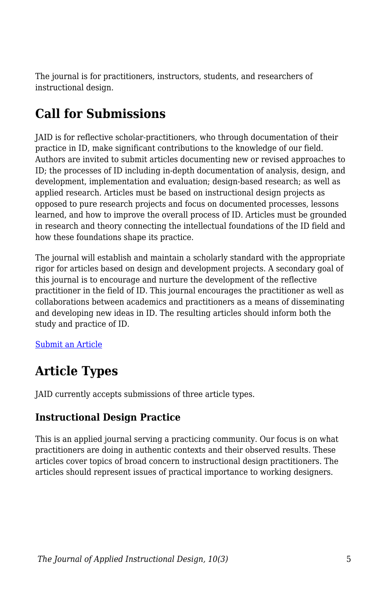The journal is for practitioners, instructors, students, and researchers of instructional design.

### **Call for Submissions**

JAID is for reflective scholar-practitioners, who through documentation of their practice in ID, make significant contributions to the knowledge of our field. Authors are invited to submit articles documenting new or revised approaches to ID; the processes of ID including in-depth documentation of analysis, design, and development, implementation and evaluation; design-based research; as well as applied research. Articles must be based on instructional design projects as opposed to pure research projects and focus on documented processes, lessons learned, and how to improve the overall process of ID. Articles must be grounded in research and theory connecting the intellectual foundations of the ID field and how these foundations shape its practice.

The journal will establish and maintain a scholarly standard with the appropriate rigor for articles based on design and development projects. A secondary goal of this journal is to encourage and nurture the development of the reflective practitioner in the field of ID. This journal encourages the practitioner as well as collaborations between academics and practitioners as a means of disseminating and developing new ideas in ID. The resulting articles should inform both the study and practice of ID.

#### [Submit an Article](https://docs.google.com/forms/d/e/1FAIpQLSdetYatKzxU7poSBjfLgKIJ-cXUT5aFDj7XVADK4B-pZTSNRQ/viewform)

#### **Article Types**

JAID currently accepts submissions of three article types.

#### **Instructional Design Practice**

This is an applied journal serving a practicing community. Our focus is on what practitioners are doing in authentic contexts and their observed results. These articles cover topics of broad concern to instructional design practitioners. The articles should represent issues of practical importance to working designers.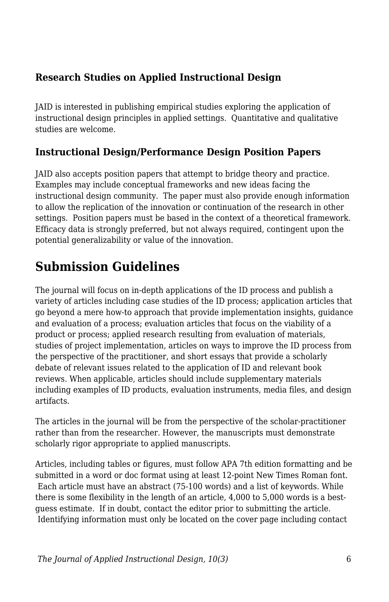#### **Research Studies on Applied Instructional Design**

JAID is interested in publishing empirical studies exploring the application of instructional design principles in applied settings. Quantitative and qualitative studies are welcome.

#### **Instructional Design/Performance Design Position Papers**

JAID also accepts position papers that attempt to bridge theory and practice. Examples may include conceptual frameworks and new ideas facing the instructional design community. The paper must also provide enough information to allow the replication of the innovation or continuation of the research in other settings. Position papers must be based in the context of a theoretical framework. Efficacy data is strongly preferred, but not always required, contingent upon the potential generalizability or value of the innovation.

#### **Submission Guidelines**

The journal will focus on in-depth applications of the ID process and publish a variety of articles including case studies of the ID process; application articles that go beyond a mere how-to approach that provide implementation insights, guidance and evaluation of a process; evaluation articles that focus on the viability of a product or process; applied research resulting from evaluation of materials, studies of project implementation, articles on ways to improve the ID process from the perspective of the practitioner, and short essays that provide a scholarly debate of relevant issues related to the application of ID and relevant book reviews. When applicable, articles should include supplementary materials including examples of ID products, evaluation instruments, media files, and design artifacts.

The articles in the journal will be from the perspective of the scholar-practitioner rather than from the researcher. However, the manuscripts must demonstrate scholarly rigor appropriate to applied manuscripts.

Articles, including tables or figures, must follow APA 7th edition formatting and be submitted in a word or doc format using at least 12-point New Times Roman font. Each article must have an abstract (75-100 words) and a list of keywords. While there is some flexibility in the length of an article, 4,000 to 5,000 words is a bestguess estimate. If in doubt, contact the editor prior to submitting the article. Identifying information must only be located on the cover page including contact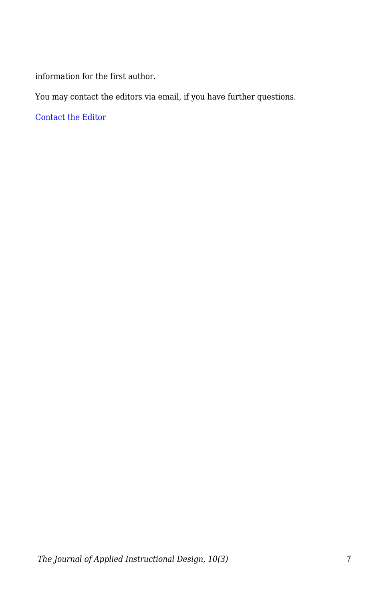information for the first author.

You may contact the editors via email, if you have further questions.

[Contact the Editor](mailto:jill.stefaniak@uga.edu?subject=JAID%20Question)